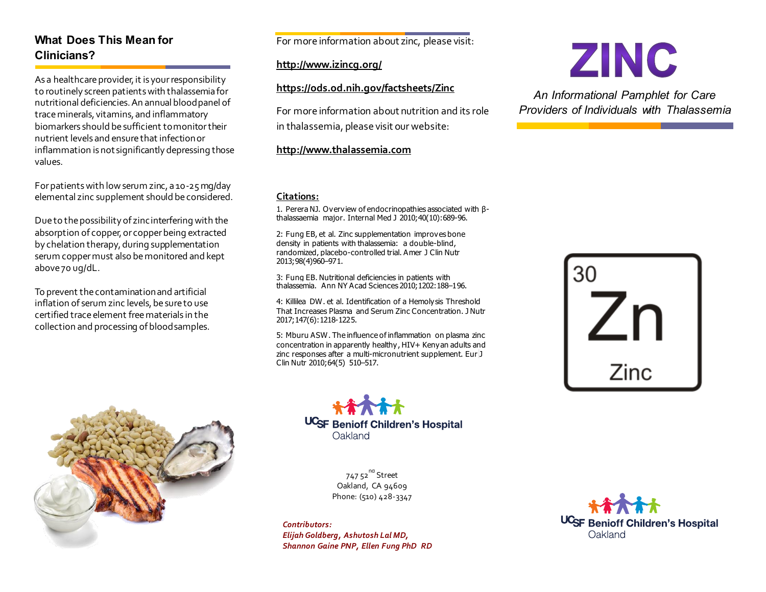# **What Does This Mean for Clinicians?**

As a healthcare provider, it is your responsibility to routinely screen patients with thalassemia for nutritional deficiencies. An annual blood panel of trace minerals, vitamins, and inflammatory biomarkers should be sufficient to monitor their nutrient levels and ensure that infection or inflammation is not significantly depressing those values.

For patients with low serum zinc, a 10-25 mg/day elemental zinc supplement should be considered.

Due to the possibility of zinc interfering with the absorption of copper, or copper being extracted by chelation therapy, during supplementation serum copper must also be monitored and kept above 70 ug/dL.

To prevent the contamination and artificial inflation of serum zinc levels, be sure to use certified trace element free materials in the collection and processing of blood samples.



For more information about zinc, please visit:

### **<http://www.izincg.org/>**

## **<https://ods.od.nih.gov/factsheets/Zinc>**

For more information about nutrition and its role in thalassemia, please visit our website:

### **[http://www.thalassemia.](http://www.thalassemia/)com**

### **Citations:**

1. Perera NJ. Overview of endocrinopathies associated with βthalassaemia major. Internal Med J 2010;40(10):689-96.

2: Fung EB, et al. Zinc supplementation improves bone density in patients with thalassemia: a double-blind, randomized, placebo-controlled trial. Amer J Clin Nutr 2013;98(4)960–971.

3: Fung EB. Nutritional deficiencies in patients with thalassemia. Ann NY Acad Sciences 2010;1202:188–196.

4: Killilea DW. et al. Identification of a Hemolysis Threshold That Increases Plasma and Serum Zinc Concentration. J Nutr 2017;147(6):1218-1225.

5: Mburu ASW. The influence of inflammation on plasma zinc concentration in apparently healthy, HIV+ Kenyan adults and zinc responses after a multi-micronutrient supplement. Eur J Clin Nutr 2010;64(5) 510–517.



747 52<sup>nd</sup> Street Oakland, CA 94609 Phone: (510) 428-3347

*Contributors: Elijah Goldberg, Ashutosh Lal MD, Shannon Gaine PNP, Ellen Fung PhD RD*





*An Informational Pamphlet for Care Providers of Individuals with Thalassemia*